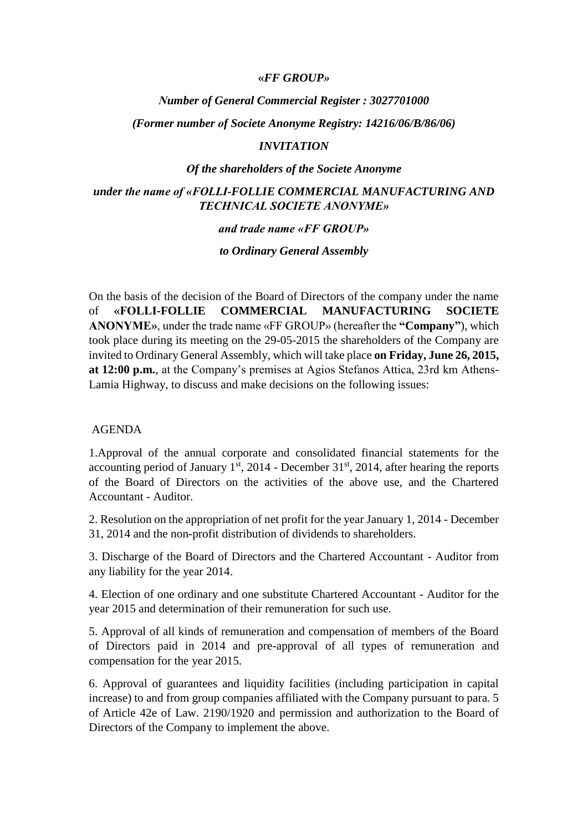### **«***FF GROUP»*

## *Νumber of General Commercial Register : 3027701000*

### *(Former number οf Societe Anonyme Registry: 14216/06/B/86/06)*

### *INVITATION*

#### *Οf the shareholders of the Societe Anonyme*

# *under the name of «FOLLI-FOLLIE COMMERCIAL MANUFACTURING AND TECHNICAL SOCIETE ANONYME»*

# *and trade name «FF GROUP»*

### *to Ordinary General Assembly*

On the basis of the decision of the Board of Directors of the company under the name of **«FOLLI-FOLLIE COMMERCIAL MANUFACTURING SOCIETE ANONYME»**, under the trade name «FF GROUP» (hereafter the **"Company"**), which took place during its meeting on the 29-05-2015 the shareholders of the Company are invited to Ordinary General Assembly, which will take place **on Friday, June 26, 2015, at 12:00 p.m.**, at the Company's premises at Agios Stefanos Attica, 23rd km Athens-Lamia Highway, to discuss and make decisions on the following issues:

## AGENDA

1.Approval of the annual corporate and consolidated financial statements for the accounting period of January  $1<sup>st</sup>$ , 2014 - December 31 $<sup>st</sup>$ , 2014, after hearing the reports</sup> of the Board of Directors on the activities of the above use, and the Chartered Accountant - Auditor.

2. Resolution on the appropriation of net profit for the year January 1, 2014 - December 31, 2014 and the non-profit distribution of dividends to shareholders.

3. Discharge of the Board of Directors and the Chartered Accountant - Auditor from any liability for the year 2014.

4. Election of one ordinary and one substitute Chartered Accountant - Auditor for the year 2015 and determination of their remuneration for such use.

5. Approval of all kinds of remuneration and compensation of members of the Board of Directors paid in 2014 and pre-approval of all types of remuneration and compensation for the year 2015.

6. Approval of guarantees and liquidity facilities (including participation in capital increase) to and from group companies affiliated with the Company pursuant to para. 5 of Article 42e of Law. 2190/1920 and permission and authorization to the Board of Directors of the Company to implement the above.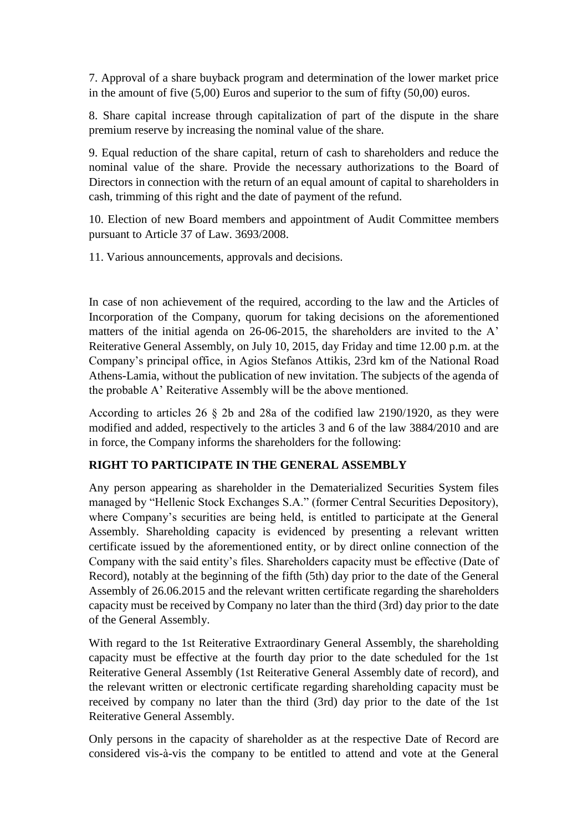7. Approval of a share buyback program and determination of the lower market price in the amount of five (5,00) Euros and superior to the sum of fifty (50,00) euros.

8. Share capital increase through capitalization of part of the dispute in the share premium reserve by increasing the nominal value of the share.

9. Equal reduction of the share capital, return of cash to shareholders and reduce the nominal value of the share. Provide the necessary authorizations to the Board of Directors in connection with the return of an equal amount of capital to shareholders in cash, trimming of this right and the date of payment of the refund.

10. Election of new Board members and appointment of Audit Committee members pursuant to Article 37 of Law. 3693/2008.

11. Various announcements, approvals and decisions.

In case of non achievement οf the required, according to the law and the Articles of Incorporation of the Company, quorum for taking decisions on the aforementioned matters of the initial agenda on 26-06-2015, the shareholders are invited to the A' Reiterative General Assembly, on July 10, 2015, day Friday and time 12.00 p.m. at the Company's principal office, in Agios Stefanos Attikis, 23rd km of the National Road Athens-Lamia, without the publication of new invitation. The subjects of the agenda of the probable A' Reiterative Assembly will be the above mentioned.

According to articles 26 § 2b and 28a οf the codified law 2190/1920, as they were modified and added, respectively to the articles 3 and 6 of the law 3884/2010 and are in force, the Company informs the shareholders for the following:

# **RIGHT TO PARTICIPATE IN THE GENERAL ASSEMBLY**

Any person appearing as shareholder in the Dematerialized Securities System files managed by "Hellenic Stock Exchanges S.A." (former Central Securities Depository), where Company's securities are being held, is entitled to participate at the General Assembly. Shareholding capacity is evidenced by presenting a relevant written certificate issued by the aforementioned entity, or by direct online connection of the Company with the said entity's files. Shareholders capacity must be effective (Date of Record), notably at the beginning of the fifth (5th) day prior to the date of the General Assembly of 26.06.2015 and the relevant written certificate regarding the shareholders capacity must be received by Company no later than the third (3rd) day prior to the date of the General Assembly.

With regard to the 1st Reiterative Extraordinary General Assembly, the shareholding capacity must be effective at the fourth day prior to the date scheduled for the 1st Reiterative General Assembly (1st Reiterative General Assembly date of record), and the relevant written or electronic certificate regarding shareholding capacity must be received by company no later than the third (3rd) day prior to the date of the 1st Reiterative General Assembly.

Only persons in the capacity of shareholder as at the respective Date of Record are considered vis-à-vis the company to be entitled to attend and vote at the General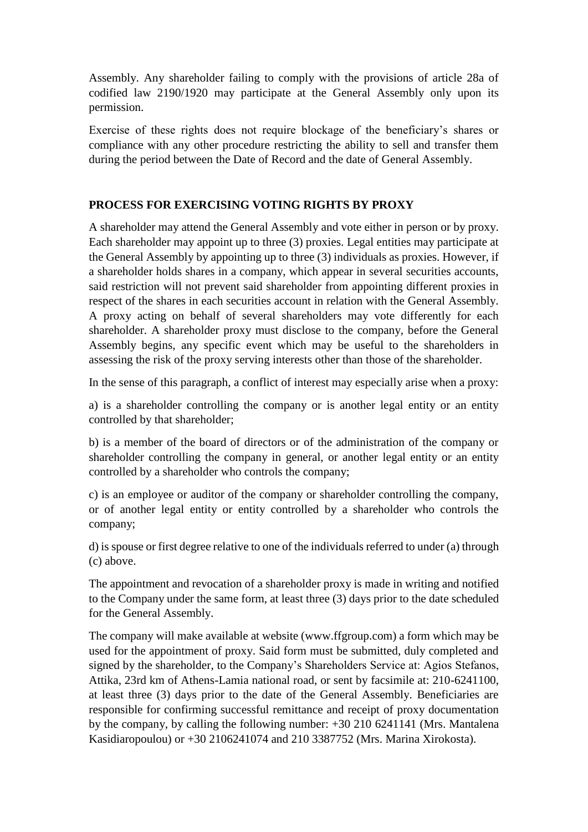Assembly. Any shareholder failing to comply with the provisions of article 28a of codified law 2190/1920 may participate at the General Assembly only upon its permission.

Exercise of these rights does not require blockage of the beneficiary's shares or compliance with any other procedure restricting the ability to sell and transfer them during the period between the Date of Record and the date of General Assembly.

# **PROCESS FOR EXERCISING VOTING RIGHTS BY PROXY**

A shareholder may attend the General Assembly and vote either in person or by proxy. Each shareholder may appoint up to three (3) proxies. Legal entities may participate at the General Assembly by appointing up to three (3) individuals as proxies. However, if a shareholder holds shares in a company, which appear in several securities accounts, said restriction will not prevent said shareholder from appointing different proxies in respect of the shares in each securities account in relation with the General Assembly. A proxy acting on behalf of several shareholders may vote differently for each shareholder. A shareholder proxy must disclose to the company, before the General Assembly begins, any specific event which may be useful to the shareholders in assessing the risk of the proxy serving interests other than those of the shareholder.

In the sense of this paragraph, a conflict of interest may especially arise when a proxy:

a) is a shareholder controlling the company or is another legal entity or an entity controlled by that shareholder;

b) is a member of the board of directors or of the administration of the company or shareholder controlling the company in general, or another legal entity or an entity controlled by a shareholder who controls the company;

c) is an employee or auditor of the company or shareholder controlling the company, or of another legal entity or entity controlled by a shareholder who controls the company;

d) is spouse or first degree relative to one of the individuals referred to under (a) through (c) above.

The appointment and revocation of a shareholder proxy is made in writing and notified to the Company under the same form, at least three (3) days prior to the date scheduled for the General Assembly.

The company will make available at website (www.ffgroup.com) a form which may be used for the appointment of proxy. Said form must be submitted, duly completed and signed by the shareholder, to the Company's Shareholders Service at: Agios Stefanos, Attika, 23rd km of Athens-Lamia national road, or sent by facsimile at: 210-6241100, at least three (3) days prior to the date of the General Assembly. Beneficiaries are responsible for confirming successful remittance and receipt of proxy documentation by the company, by calling the following number: +30 210 6241141 (Mrs. Mantalena Kasidiaropoulou) or +30 2106241074 and 210 3387752 (Mrs. Marina Xirokosta).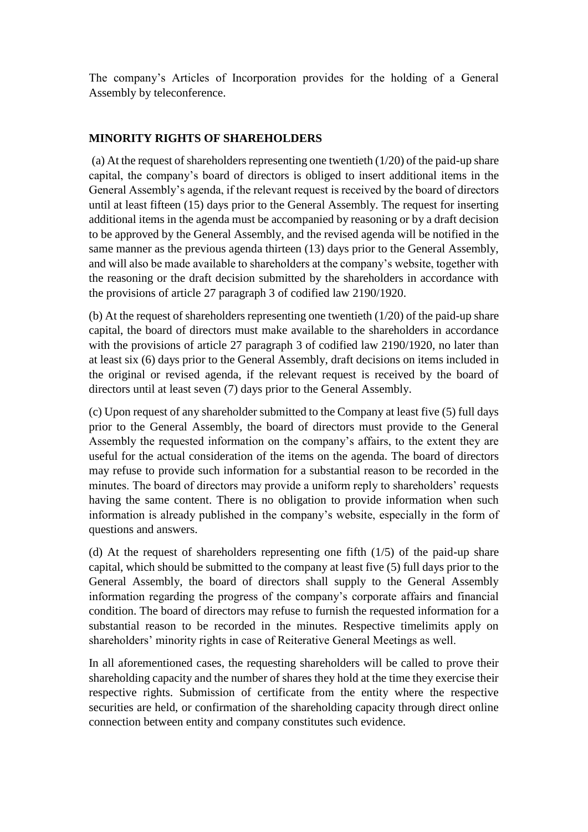The company's Articles of Incorporation provides for the holding of a General Assembly by teleconference.

# **MINORITY RIGHTS OF SHAREHOLDERS**

(a) At the request of shareholders representing one twentieth (1/20) of the paid-up share capital, the company's board of directors is obliged to insert additional items in the General Assembly's agenda, if the relevant request is received by the board of directors until at least fifteen (15) days prior to the General Assembly. The request for inserting additional items in the agenda must be accompanied by reasoning or by a draft decision to be approved by the General Assembly, and the revised agenda will be notified in the same manner as the previous agenda thirteen (13) days prior to the General Assembly, and will also be made available to shareholders at the company's website, together with the reasoning or the draft decision submitted by the shareholders in accordance with the provisions of article 27 paragraph 3 of codified law 2190/1920.

(b) At the request of shareholders representing one twentieth  $(1/20)$  of the paid-up share capital, the board of directors must make available to the shareholders in accordance with the provisions of article 27 paragraph 3 of codified law 2190/1920, no later than at least six (6) days prior to the General Assembly, draft decisions on items included in the original or revised agenda, if the relevant request is received by the board of directors until at least seven (7) days prior to the General Assembly.

(c) Upon request of any shareholder submitted to the Company at least five (5) full days prior to the General Assembly, the board of directors must provide to the General Assembly the requested information on the company's affairs, to the extent they are useful for the actual consideration of the items on the agenda. The board of directors may refuse to provide such information for a substantial reason to be recorded in the minutes. The board of directors may provide a uniform reply to shareholders' requests having the same content. There is no obligation to provide information when such information is already published in the company's website, especially in the form of questions and answers.

(d) At the request of shareholders representing one fifth (1/5) of the paid-up share capital, which should be submitted to the company at least five (5) full days prior to the General Assembly, the board of directors shall supply to the General Assembly information regarding the progress of the company's corporate affairs and financial condition. The board of directors may refuse to furnish the requested information for a substantial reason to be recorded in the minutes. Respective timelimits apply on shareholders' minority rights in case of Reiterative General Meetings as well.

In all aforementioned cases, the requesting shareholders will be called to prove their shareholding capacity and the number of shares they hold at the time they exercise their respective rights. Submission of certificate from the entity where the respective securities are held, or confirmation of the shareholding capacity through direct online connection between entity and company constitutes such evidence.